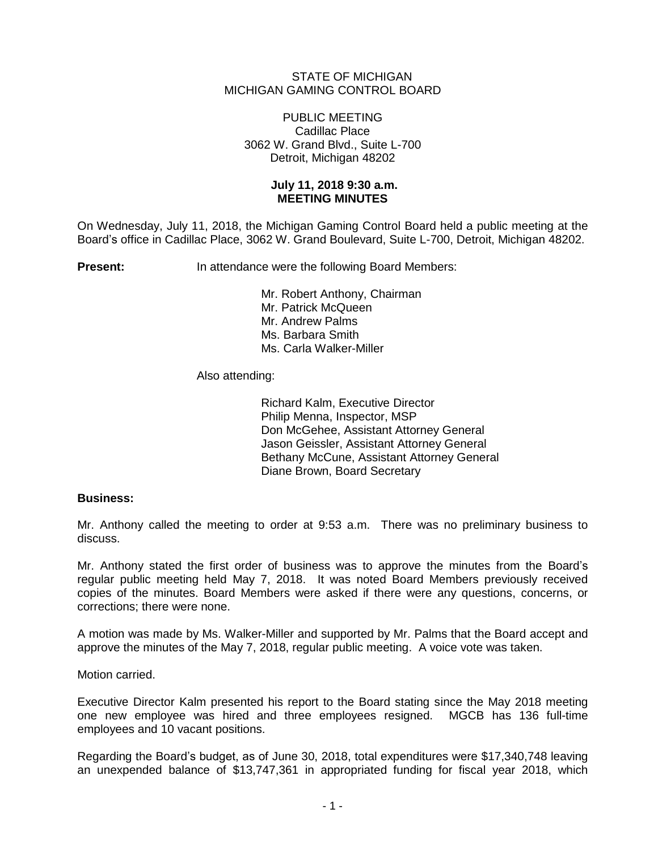# STATE OF MICHIGAN MICHIGAN GAMING CONTROL BOARD

#### PUBLIC MEETING Cadillac Place 3062 W. Grand Blvd., Suite L-700 Detroit, Michigan 48202

### **July 11, 2018 9:30 a.m. MEETING MINUTES**

On Wednesday, July 11, 2018, the Michigan Gaming Control Board held a public meeting at the Board's office in Cadillac Place, 3062 W. Grand Boulevard, Suite L-700, Detroit, Michigan 48202.

**Present:** In attendance were the following Board Members:

Mr. Robert Anthony, Chairman Mr. Patrick McQueen Mr. Andrew Palms Ms. Barbara Smith Ms. Carla Walker-Miller

# Also attending:

Richard Kalm, Executive Director Philip Menna, Inspector, MSP Don McGehee, Assistant Attorney General Jason Geissler, Assistant Attorney General Bethany McCune, Assistant Attorney General Diane Brown, Board Secretary

### **Business:**

Mr. Anthony called the meeting to order at 9:53 a.m. There was no preliminary business to discuss.

Mr. Anthony stated the first order of business was to approve the minutes from the Board's regular public meeting held May 7, 2018. It was noted Board Members previously received copies of the minutes. Board Members were asked if there were any questions, concerns, or corrections; there were none.

A motion was made by Ms. Walker-Miller and supported by Mr. Palms that the Board accept and approve the minutes of the May 7, 2018, regular public meeting. A voice vote was taken.

Motion carried.

Executive Director Kalm presented his report to the Board stating since the May 2018 meeting one new employee was hired and three employees resigned. MGCB has 136 full-time employees and 10 vacant positions.

Regarding the Board's budget, as of June 30, 2018, total expenditures were \$17,340,748 leaving an unexpended balance of \$13,747,361 in appropriated funding for fiscal year 2018, which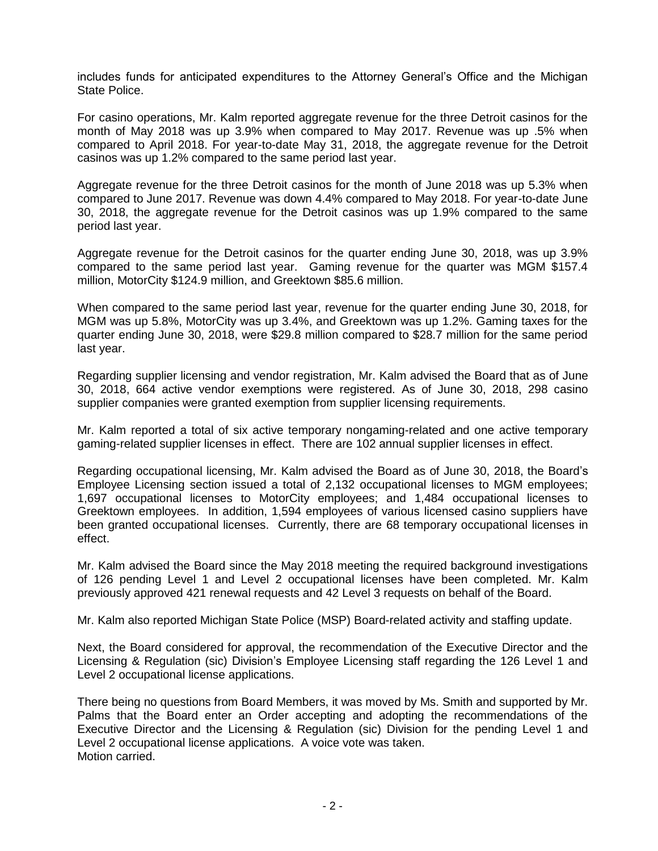includes funds for anticipated expenditures to the Attorney General's Office and the Michigan State Police.

For casino operations, Mr. Kalm reported aggregate revenue for the three Detroit casinos for the month of May 2018 was up 3.9% when compared to May 2017. Revenue was up .5% when compared to April 2018. For year-to-date May 31, 2018, the aggregate revenue for the Detroit casinos was up 1.2% compared to the same period last year.

Aggregate revenue for the three Detroit casinos for the month of June 2018 was up 5.3% when compared to June 2017. Revenue was down 4.4% compared to May 2018. For year-to-date June 30, 2018, the aggregate revenue for the Detroit casinos was up 1.9% compared to the same period last year.

Aggregate revenue for the Detroit casinos for the quarter ending June 30, 2018, was up 3.9% compared to the same period last year. Gaming revenue for the quarter was MGM \$157.4 million, MotorCity \$124.9 million, and Greektown \$85.6 million.

When compared to the same period last year, revenue for the quarter ending June 30, 2018, for MGM was up 5.8%, MotorCity was up 3.4%, and Greektown was up 1.2%. Gaming taxes for the quarter ending June 30, 2018, were \$29.8 million compared to \$28.7 million for the same period last year.

Regarding supplier licensing and vendor registration, Mr. Kalm advised the Board that as of June 30, 2018, 664 active vendor exemptions were registered. As of June 30, 2018, 298 casino supplier companies were granted exemption from supplier licensing requirements.

Mr. Kalm reported a total of six active temporary nongaming-related and one active temporary gaming-related supplier licenses in effect. There are 102 annual supplier licenses in effect.

Regarding occupational licensing, Mr. Kalm advised the Board as of June 30, 2018, the Board's Employee Licensing section issued a total of 2,132 occupational licenses to MGM employees; 1,697 occupational licenses to MotorCity employees; and 1,484 occupational licenses to Greektown employees. In addition, 1,594 employees of various licensed casino suppliers have been granted occupational licenses. Currently, there are 68 temporary occupational licenses in effect.

Mr. Kalm advised the Board since the May 2018 meeting the required background investigations of 126 pending Level 1 and Level 2 occupational licenses have been completed. Mr. Kalm previously approved 421 renewal requests and 42 Level 3 requests on behalf of the Board.

Mr. Kalm also reported Michigan State Police (MSP) Board-related activity and staffing update.

Next, the Board considered for approval, the recommendation of the Executive Director and the Licensing & Regulation (sic) Division's Employee Licensing staff regarding the 126 Level 1 and Level 2 occupational license applications.

There being no questions from Board Members, it was moved by Ms. Smith and supported by Mr. Palms that the Board enter an Order accepting and adopting the recommendations of the Executive Director and the Licensing & Regulation (sic) Division for the pending Level 1 and Level 2 occupational license applications. A voice vote was taken. Motion carried.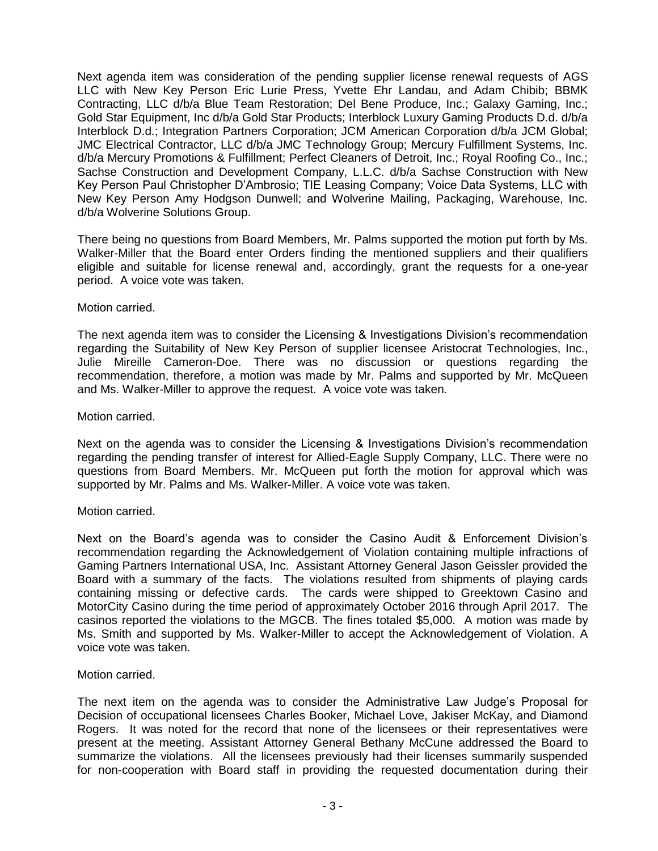Next agenda item was consideration of the pending supplier license renewal requests of AGS LLC with New Key Person Eric Lurie Press, Yvette Ehr Landau, and Adam Chibib; BBMK Contracting, LLC d/b/a Blue Team Restoration; Del Bene Produce, Inc.; Galaxy Gaming, Inc.; Gold Star Equipment, Inc d/b/a Gold Star Products; Interblock Luxury Gaming Products D.d. d/b/a Interblock D.d.; Integration Partners Corporation; JCM American Corporation d/b/a JCM Global; JMC Electrical Contractor, LLC d/b/a JMC Technology Group; Mercury Fulfillment Systems, Inc. d/b/a Mercury Promotions & Fulfillment; Perfect Cleaners of Detroit, Inc.; Royal Roofing Co., Inc.; Sachse Construction and Development Company, L.L.C. d/b/a Sachse Construction with New Key Person Paul Christopher D'Ambrosio; TIE Leasing Company; Voice Data Systems, LLC with New Key Person Amy Hodgson Dunwell; and Wolverine Mailing, Packaging, Warehouse, Inc. d/b/a Wolverine Solutions Group.

There being no questions from Board Members, Mr. Palms supported the motion put forth by Ms. Walker-Miller that the Board enter Orders finding the mentioned suppliers and their qualifiers eligible and suitable for license renewal and, accordingly, grant the requests for a one-year period. A voice vote was taken.

# Motion carried.

The next agenda item was to consider the Licensing & Investigations Division's recommendation regarding the Suitability of New Key Person of supplier licensee Aristocrat Technologies, Inc., Julie Mireille Cameron-Doe. There was no discussion or questions regarding the recommendation, therefore, a motion was made by Mr. Palms and supported by Mr. McQueen and Ms. Walker-Miller to approve the request. A voice vote was taken.

### Motion carried.

Next on the agenda was to consider the Licensing & Investigations Division's recommendation regarding the pending transfer of interest for Allied-Eagle Supply Company, LLC. There were no questions from Board Members. Mr. McQueen put forth the motion for approval which was supported by Mr. Palms and Ms. Walker-Miller. A voice vote was taken.

### Motion carried.

Next on the Board's agenda was to consider the Casino Audit & Enforcement Division's recommendation regarding the Acknowledgement of Violation containing multiple infractions of Gaming Partners International USA, Inc. Assistant Attorney General Jason Geissler provided the Board with a summary of the facts. The violations resulted from shipments of playing cards containing missing or defective cards. The cards were shipped to Greektown Casino and MotorCity Casino during the time period of approximately October 2016 through April 2017. The casinos reported the violations to the MGCB. The fines totaled \$5,000. A motion was made by Ms. Smith and supported by Ms. Walker-Miller to accept the Acknowledgement of Violation. A voice vote was taken.

### Motion carried.

The next item on the agenda was to consider the Administrative Law Judge's Proposal for Decision of occupational licensees Charles Booker, Michael Love, Jakiser McKay, and Diamond Rogers. It was noted for the record that none of the licensees or their representatives were present at the meeting. Assistant Attorney General Bethany McCune addressed the Board to summarize the violations. All the licensees previously had their licenses summarily suspended for non-cooperation with Board staff in providing the requested documentation during their